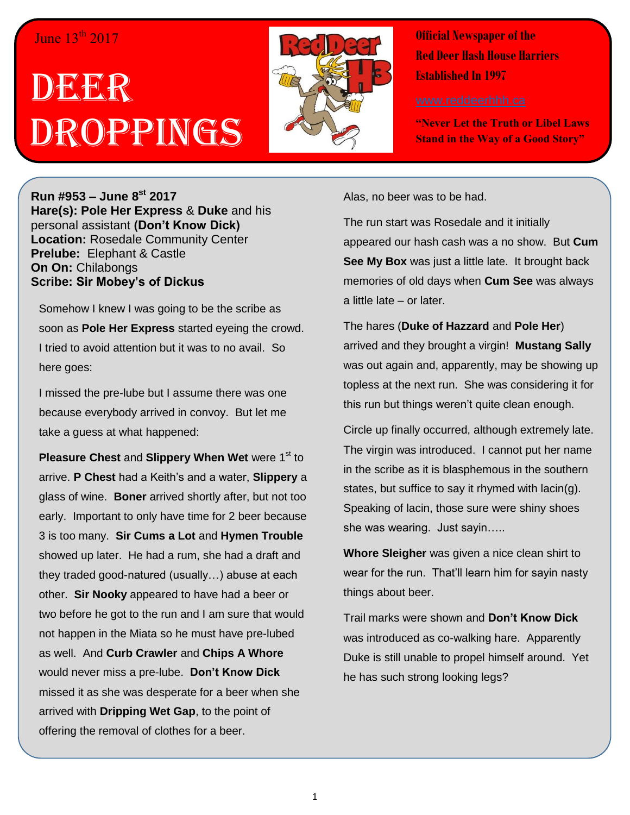## June  $13<sup>th</sup> 2017$

## DECER Droppings



**Official Newspaper of the Red Deer Hash House Harriers Established In 1997** 

**"Never Let the Truth or Libel Laws Stand in the Way of a Good Story"**

**Run #953 – June 8 st 2017 Hare(s): Pole Her Express** & **Duke** and his personal assistant **(Don't Know Dick) Location:** Rosedale Community Center **Prelube:** Elephant & Castle **On On:** Chilabongs **Scribe: Sir Mobey's of Dickus**

Somehow I knew I was going to be the scribe as soon as **Pole Her Express** started eyeing the crowd. I tried to avoid attention but it was to no avail. So here goes:

I missed the pre-lube but I assume there was one because everybody arrived in convoy. But let me take a guess at what happened:

**Pleasure Chest and Slippery When Wet** were 1<sup>st</sup> to arrive. **P Chest** had a Keith's and a water, **Slippery** a glass of wine. **Boner** arrived shortly after, but not too early. Important to only have time for 2 beer because 3 is too many. **Sir Cums a Lot** and **Hymen Trouble** showed up later. He had a rum, she had a draft and they traded good-natured (usually…) abuse at each other. **Sir Nooky** appeared to have had a beer or two before he got to the run and I am sure that would not happen in the Miata so he must have pre-lubed as well. And **Curb Crawler** and **Chips A Whore** would never miss a pre-lube. **Don't Know Dick** missed it as she was desperate for a beer when she arrived with **Dripping Wet Gap**, to the point of offering the removal of clothes for a beer.

Alas, no beer was to be had.

The run start was Rosedale and it initially appeared our hash cash was a no show. But **Cum See My Box** was just a little late. It brought back memories of old days when **Cum See** was always a little late – or later.

The hares (**Duke of Hazzard** and **Pole Her**) arrived and they brought a virgin! **Mustang Sally** was out again and, apparently, may be showing up topless at the next run. She was considering it for this run but things weren't quite clean enough.

Circle up finally occurred, although extremely late. The virgin was introduced. I cannot put her name in the scribe as it is blasphemous in the southern states, but suffice to say it rhymed with lacin(g). Speaking of lacin, those sure were shiny shoes she was wearing. Just sayin…..

**Whore Sleigher** was given a nice clean shirt to wear for the run. That'll learn him for sayin nasty things about beer.

Trail marks were shown and **Don't Know Dick** was introduced as co-walking hare. Apparently Duke is still unable to propel himself around. Yet he has such strong looking legs?